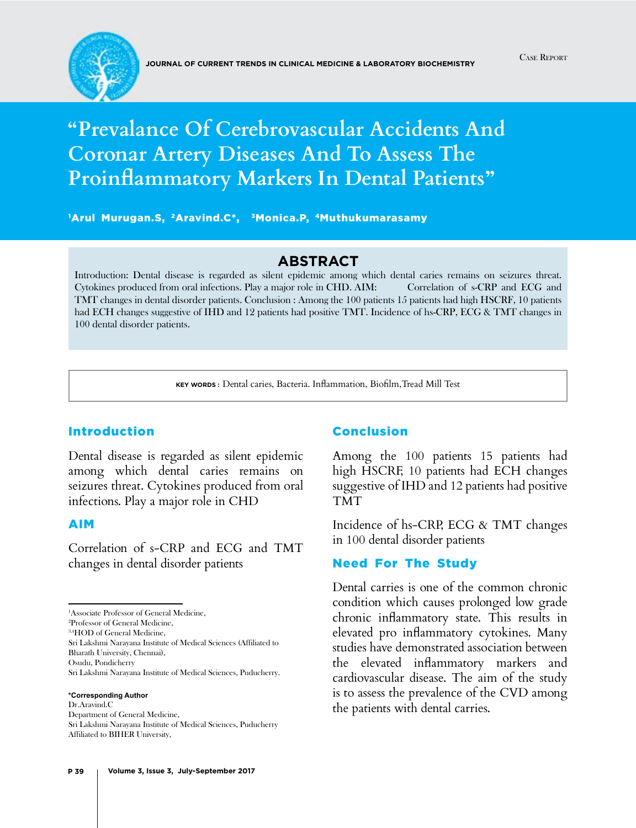

# **"Prevalance Of Cerebrovascular Accidents And Coronar Artery Diseases And To Assess The Proinflammatory Markers In Dental Patients"**

1 Arul Murugan.S, 2Aravind.C\*, 3Monica.P, 4Muthukumarasamy

### **Abstract**

Introduction: Dental disease is regarded as silent epidemic among which dental caries remains on seizures threat. Cytokines produced from oral infections. Play a major role in CHD. AIM: Correlation of s-CRP and ECG and TMT changes in dental disorder patients. Conclusion : Among the 100 patients 15 patients had high HSCRF, 10 patients had ECH changes suggestive of IHD and 12 patients had positive TMT. Incidence of hs-CRP, ECG & TMT changes in 100 dental disorder patients.

**Key words :** Dental caries, Bacteria. Inflammation, Biofilm,Tread Mill Test

#### Introduction

Dental disease is regarded as silent epidemic among which dental caries remains on seizures threat. Cytokines produced from oral infections. Play a major role in CHD

#### AIM

Correlation of s-CRP and ECG and TMT changes in dental disorder patients

Osudu, Pondicherry

#### **\*Corresponding Author**

#### Conclusion

Among the 100 patients 15 patients had high HSCRF, 10 patients had ECH changes suggestive of IHD and 12 patients had positive TMT

Incidence of hs-CRP, ECG & TMT changes in 100 dental disorder patients

# Need For The Study

Dental carries is one of the common chronic condition which causes prolonged low grade chronic inflammatory state. This results in elevated pro inflammatory cytokines. Many studies have demonstrated association between the elevated inflammatory markers and cardiovascular disease. The aim of the study is to assess the prevalence of the CVD among the patients with dental carries.

<sup>1</sup> Associate Professor of General Medicine,

<sup>2</sup> Professor of General Medicine,

<sup>3,4</sup>HOD of General Medicine,

Sri Lakshmi Narayana Institute of Medical Sciences (Affiliated to Bharath University, Chennai),

Sri Lakshmi Narayana Institute of Medical Sciences, Puducherry.

Dr.Aravind.C Department of General Medicine, Sri Lakshmi Narayana Institute of Medical Sciences, Puducherry Affiliated to BIHER University,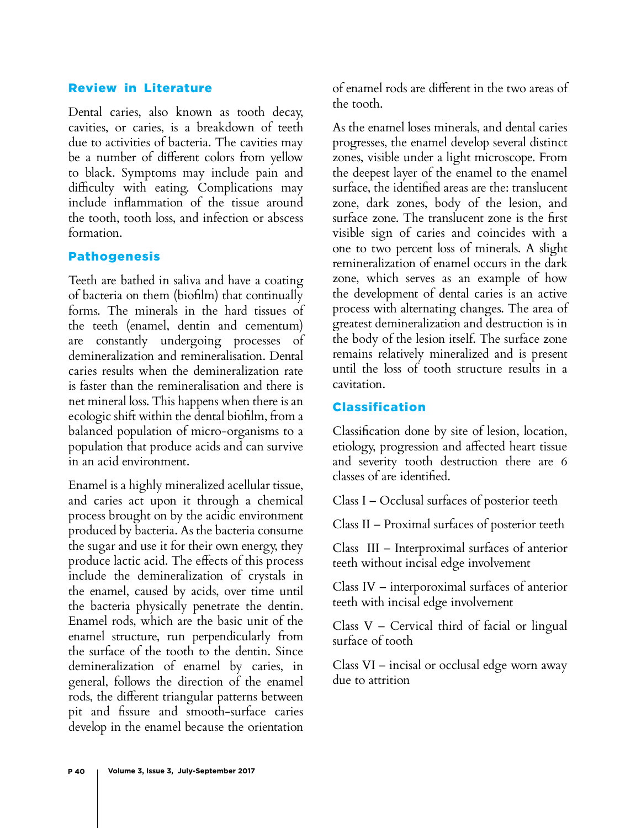#### Review in Literature

Dental caries, also known as tooth decay, cavities, or caries, is a breakdown of teeth due to activities of bacteria. The cavities may be a number of different colors from yellow to black. Symptoms may include pain and difficulty with eating. Complications may include inflammation of the tissue around the tooth, tooth loss, and infection or abscess formation.

#### Pathogenesis

Teeth are bathed in saliva and have a coating of bacteria on them (biofilm) that continually forms. The minerals in the hard tissues of the teeth (enamel, dentin and cementum) are constantly undergoing processes of demineralization and remineralisation. Dental caries results when the demineralization rate is faster than the remineralisation and there is net mineral loss. This happens when there is an ecologic shift within the dental biofilm, from a balanced population of micro-organisms to a population that produce acids and can survive in an acid environment.

Enamel is a highly mineralized acellular tissue, and caries act upon it through a chemical process brought on by the acidic environment produced by bacteria. As the bacteria consume the sugar and use it for their own energy, they produce lactic acid. The effects of this process include the demineralization of crystals in the enamel, caused by acids, over time until the bacteria physically penetrate the dentin. Enamel rods, which are the basic unit of the enamel structure, run perpendicularly from the surface of the tooth to the dentin. Since demineralization of enamel by caries, in general, follows the direction of the enamel rods, the different triangular patterns between pit and fissure and smooth-surface caries develop in the enamel because the orientation

of enamel rods are different in the two areas of the tooth.

As the enamel loses minerals, and dental caries progresses, the enamel develop several distinct zones, visible under a light microscope. From the deepest layer of the enamel to the enamel surface, the identified areas are the: translucent zone, dark zones, body of the lesion, and surface zone. The translucent zone is the first visible sign of caries and coincides with a one to two percent loss of minerals. A slight remineralization of enamel occurs in the dark zone, which serves as an example of how the development of dental caries is an active process with alternating changes. The area of greatest demineralization and destruction is in the body of the lesion itself. The surface zone remains relatively mineralized and is present until the loss of tooth structure results in a cavitation.

#### Classification

Classification done by site of lesion, location, etiology, progression and affected heart tissue and severity tooth destruction there are 6 classes of are identified.

Class I – Occlusal surfaces of posterior teeth

Class II – Proximal surfaces of posterior teeth

Class III – Interproximal surfaces of anterior teeth without incisal edge involvement

Class IV – interporoximal surfaces of anterior teeth with incisal edge involvement

Class V – Cervical third of facial or lingual surface of tooth

Class VI – incisal or occlusal edge worn away due to attrition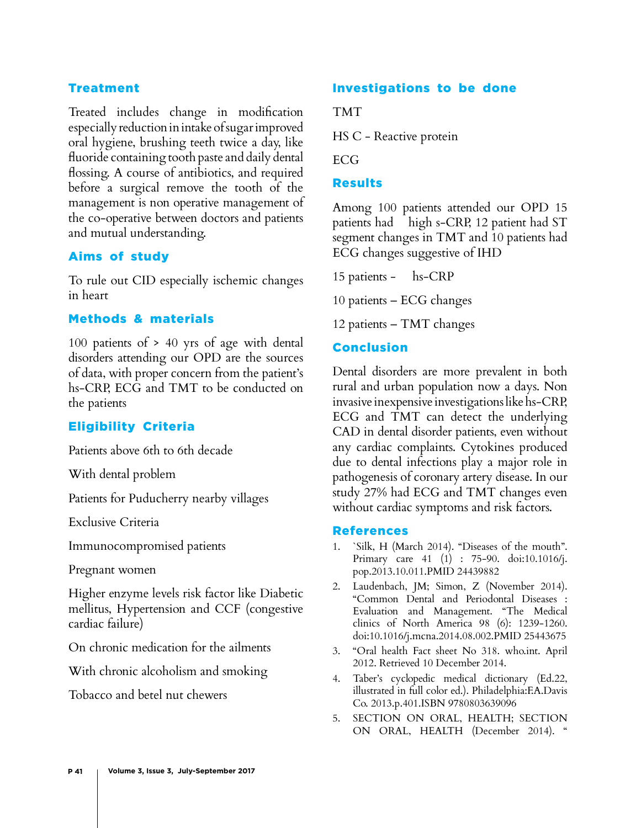# Treatment

Treated includes change in modification especially reduction in intake of sugar improved oral hygiene, brushing teeth twice a day, like fluoride containing tooth paste and daily dental flossing. A course of antibiotics, and required before a surgical remove the tooth of the management is non operative management of the co-operative between doctors and patients and mutual understanding.

### Aims of study

To rule out CID especially ischemic changes in heart

### Methods & materials

100 patients of > 40 yrs of age with dental disorders attending our OPD are the sources of data, with proper concern from the patient's hs-CRP, ECG and TMT to be conducted on the patients

# Eligibility Criteria

Patients above 6th to 6th decade

With dental problem

Patients for Puducherry nearby villages

Exclusive Criteria

Immunocompromised patients

Pregnant women

Higher enzyme levels risk factor like Diabetic mellitus, Hypertension and CCF (congestive cardiac failure)

On chronic medication for the ailments

With chronic alcoholism and smoking

Tobacco and betel nut chewers

#### Investigations to be done

TMT

HS C - Reactive protein

**ECG** 

#### **Results**

Among 100 patients attended our OPD 15 patients had high s-CRP, 12 patient had ST segment changes in TMT and 10 patients had ECG changes suggestive of IHD

15 patients - hs-CRP

10 patients – ECG changes

12 patients – TMT changes

#### Conclusion

Dental disorders are more prevalent in both rural and urban population now a days. Non invasive inexpensive investigations like hs-CRP, ECG and TMT can detect the underlying CAD in dental disorder patients, even without any cardiac complaints. Cytokines produced due to dental infections play a major role in pathogenesis of coronary artery disease. In our study 27% had ECG and TMT changes even without cardiac symptoms and risk factors.

#### References

- 1. `Silk, H (March 2014). "Diseases of the mouth". Primary care 41 (1) : 75-90. doi:10.1016/j. pop.2013.10.011.PMID 24439882
- 2. Laudenbach, JM; Simon, Z (November 2014). "Common Dental and Periodontal Diseases : Evaluation and Management. "The Medical clinics of North America 98 (6): 1239-1260. doi:10.1016/j.mcna.2014.08.002.PMID 25443675
- 3. "Oral health Fact sheet No 318. who.int. April 2012. Retrieved 10 December 2014.
- 4. Taber's cyclopedic medical dictionary (Ed.22, illustrated in full color ed.). Philadelphia:F.A.Davis Co. 2013.p.401.ISBN 9780803639096
- 5. SECTION ON ORAL, HEALTH; SECTION ON ORAL, HEALTH (December 2014). "